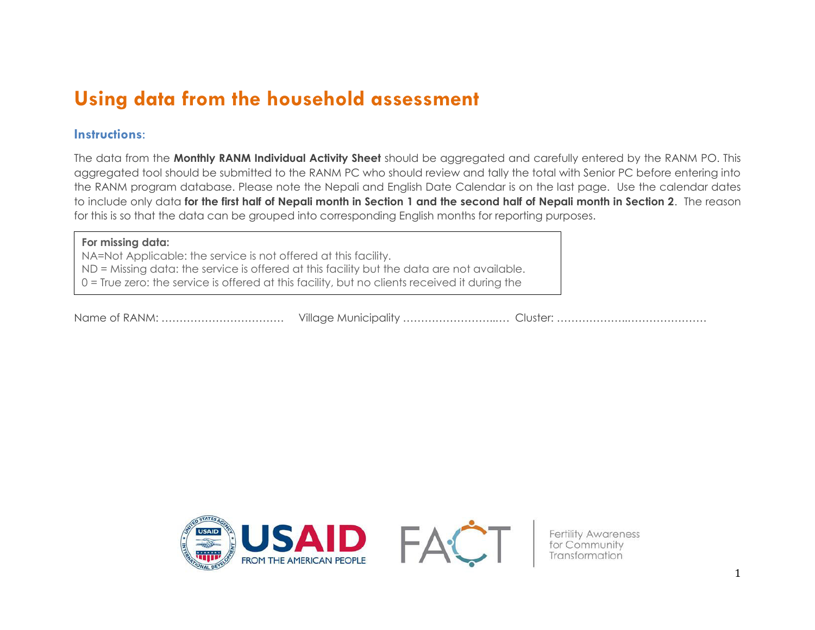# **Using data from the household assessment**

### **Instructions:**

The data from the **Monthly RANM Individual Activity Sheet** should be aggregated and carefully entered by the RANM PO. This aggregated tool should be submitted to the RANM PC who should review and tally the total with Senior PC before entering into the RANM program database. Please note the Nepali and English Date Calendar is on the last page. Use the calendar dates to include only data **for the first half of Nepali month in Section 1 and the second half of Nepali month in Section 2**. The reason for this is so that the data can be grouped into corresponding English months for reporting purposes.

#### **For missing data:**

month.

NA=Not Applicable: the service is not offered at this facility. ND = Missing data: the service is offered at this facility but the data are not available. 0 = True zero: the service is offered at this facility, but no clients received it during the

Name of RANM: ………………………………………… Village Municipality …………………………… Cluster: …………………………………



Fertility Awareness<br>for Community<br>Transformation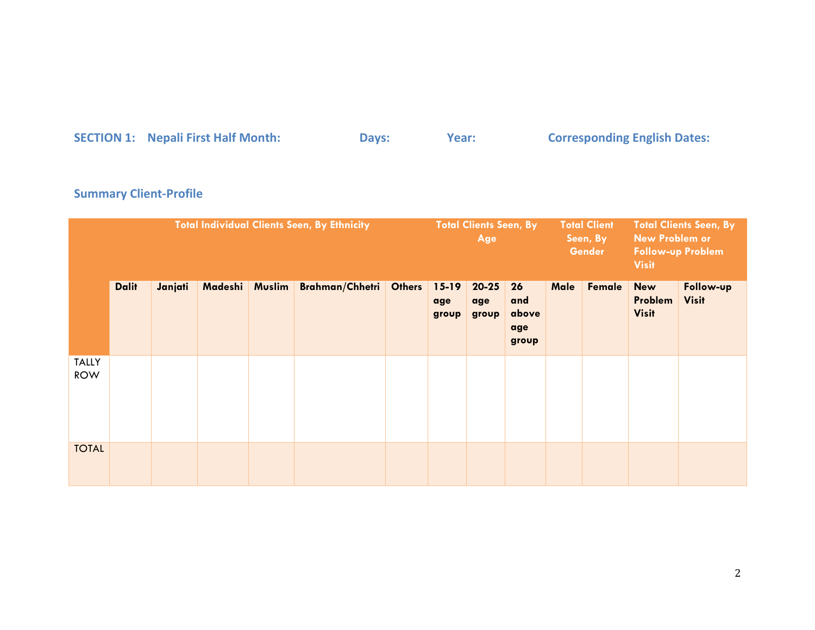# **SECTION 1: SECTION 1:** Days: The Month: Pays: Year: Corresponding English Dates:

### **Summary Client-Profile**

|                            |              |         |         |               | <b>Total Individual Clients Seen, By Ethnicity</b> |               | <b>Total Clients Seen, By</b><br>Age |                           |                                    |      | <b>Total Client</b><br><b>Total Clients Seen, By</b><br><b>New Problem or</b><br>Seen, By<br><b>Gender</b><br><b>Follow-up Problem</b><br><b>Visit</b> |                                       |                           |
|----------------------------|--------------|---------|---------|---------------|----------------------------------------------------|---------------|--------------------------------------|---------------------------|------------------------------------|------|--------------------------------------------------------------------------------------------------------------------------------------------------------|---------------------------------------|---------------------------|
|                            | <b>Dalit</b> | Janjati | Madeshi | <b>Muslim</b> | <b>Brahman/Chhetri</b>                             | <b>Others</b> | $15 - 19$<br>age<br>group            | $20 - 25$<br>age<br>group | 26<br>and<br>above<br>age<br>group | Male | Female                                                                                                                                                 | <b>New</b><br>Problem<br><b>Visit</b> | Follow-up<br><b>Visit</b> |
| <b>TALLY</b><br><b>ROW</b> |              |         |         |               |                                                    |               |                                      |                           |                                    |      |                                                                                                                                                        |                                       |                           |
| <b>TOTAL</b>               |              |         |         |               |                                                    |               |                                      |                           |                                    |      |                                                                                                                                                        |                                       |                           |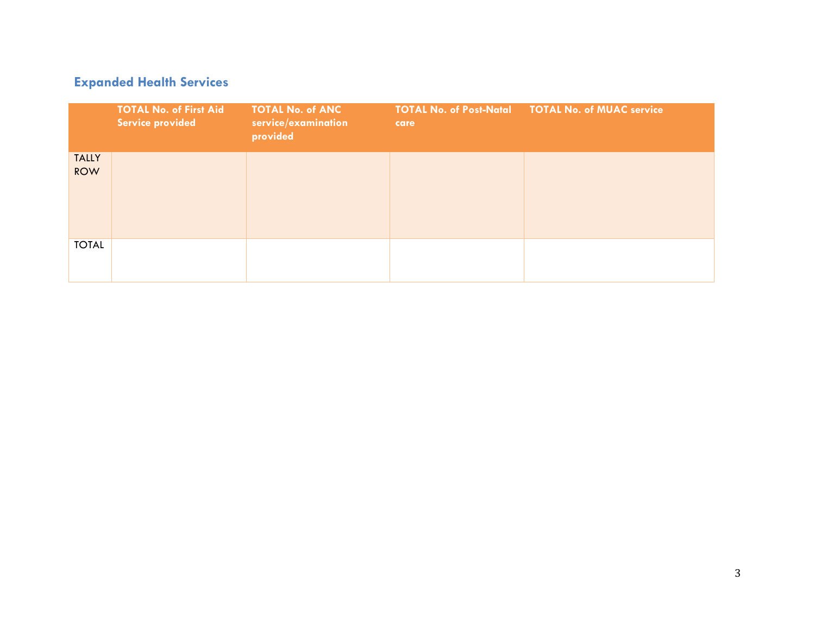### **Expanded Health Services**

|                            | <b>TOTAL No. of First Aid</b><br>Service provided | <b>TOTAL No. of ANC</b><br>service/examination<br>provided | care | <b>TOTAL No. of Post-Natal  TOTAL No. of MUAC service</b> |
|----------------------------|---------------------------------------------------|------------------------------------------------------------|------|-----------------------------------------------------------|
| <b>TALLY</b><br><b>ROW</b> |                                                   |                                                            |      |                                                           |
| <b>TOTAL</b>               |                                                   |                                                            |      |                                                           |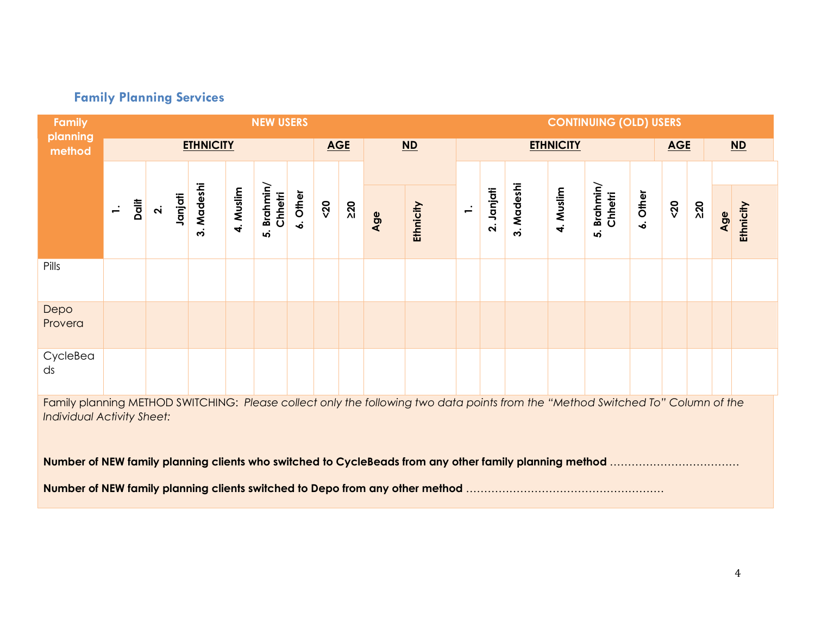# **Family Planning Services**

| Family                                                                                                                                                               |                 |                    |         |                  |           | <b>NEW USERS</b>                 |          |            |    |     |           |        |            |            |                  | <b>CONTINUING (OLD) USERS</b>    |                          |            |    |     |           |
|----------------------------------------------------------------------------------------------------------------------------------------------------------------------|-----------------|--------------------|---------|------------------|-----------|----------------------------------|----------|------------|----|-----|-----------|--------|------------|------------|------------------|----------------------------------|--------------------------|------------|----|-----|-----------|
| planning<br>method                                                                                                                                                   |                 |                    |         | <b>ETHNICITY</b> |           |                                  |          | <b>AGE</b> |    |     | $ND$      |        |            |            | <b>ETHNICITY</b> |                                  |                          | <b>AGE</b> |    |     | $ND$      |
|                                                                                                                                                                      |                 |                    |         |                  |           |                                  |          |            |    |     |           |        |            |            |                  |                                  |                          |            |    |     |           |
|                                                                                                                                                                      | Dalit<br>$\div$ | $\dot{\mathbf{r}}$ | Janjati | 3. Madeshi       | 4. Muslim | Brahmin/<br>Chhetri<br><u>ဟု</u> | 6. Other | $20$       | 20 | Age | Ethnicity | $\div$ | 2. Janjati | 3. Madeshi | 4. Muslim        | Brahmin/<br>Chhetri<br><u>ທ່</u> | Other<br>$\dot{\bullet}$ | 50         | 20 | Age | Ethnicity |
| Pills                                                                                                                                                                |                 |                    |         |                  |           |                                  |          |            |    |     |           |        |            |            |                  |                                  |                          |            |    |     |           |
| Depo<br>Provera                                                                                                                                                      |                 |                    |         |                  |           |                                  |          |            |    |     |           |        |            |            |                  |                                  |                          |            |    |     |           |
| CycleBea<br>ds                                                                                                                                                       |                 |                    |         |                  |           |                                  |          |            |    |     |           |        |            |            |                  |                                  |                          |            |    |     |           |
| Family planning METHOD SWITCHING: Please collect only the following two data points from the "Method Switched To" Column of the<br><b>Individual Activity Sheet:</b> |                 |                    |         |                  |           |                                  |          |            |    |     |           |        |            |            |                  |                                  |                          |            |    |     |           |
|                                                                                                                                                                      |                 |                    |         |                  |           |                                  |          |            |    |     |           |        |            |            |                  |                                  |                          |            |    |     |           |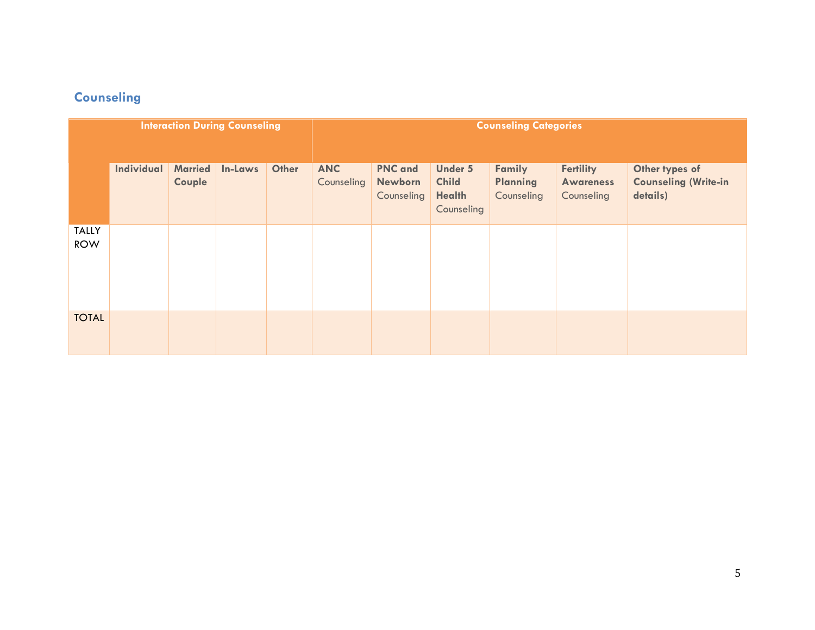# **Counseling**

|                            |            |                          | <b>Interaction During Counseling</b> |       |                          | <b>Counseling Categories</b>                   |                                                               |                                         |                                                    |                                                           |  |
|----------------------------|------------|--------------------------|--------------------------------------|-------|--------------------------|------------------------------------------------|---------------------------------------------------------------|-----------------------------------------|----------------------------------------------------|-----------------------------------------------------------|--|
|                            |            |                          |                                      |       |                          |                                                |                                                               |                                         |                                                    |                                                           |  |
|                            | Individual | <b>Married</b><br>Couple | In-Laws                              | Other | <b>ANC</b><br>Counseling | <b>PNC</b> and<br><b>Newborn</b><br>Counseling | <b>Under 5</b><br><b>Child</b><br><b>Health</b><br>Counseling | Family<br><b>Planning</b><br>Counseling | <b>Fertility</b><br><b>Awareness</b><br>Counseling | Other types of<br><b>Counseling (Write-in</b><br>details) |  |
| <b>TALLY</b><br><b>ROW</b> |            |                          |                                      |       |                          |                                                |                                                               |                                         |                                                    |                                                           |  |
| <b>TOTAL</b>               |            |                          |                                      |       |                          |                                                |                                                               |                                         |                                                    |                                                           |  |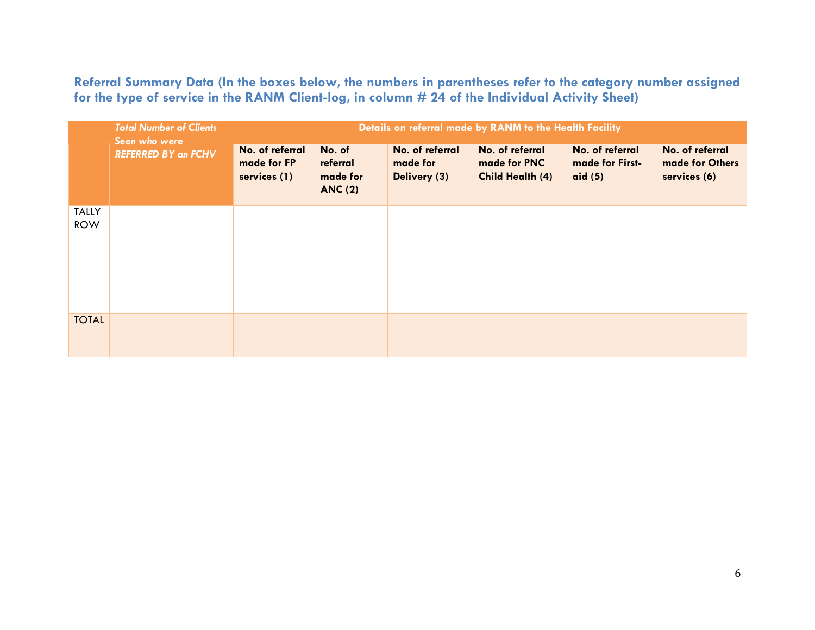**Referral Summary Data (In the boxes below, the numbers in parentheses refer to the category number assigned for the type of service in the RANM Client-log, in column # 24 of the Individual Activity Sheet)** 

|                            | <b>Total Number of Clients</b><br>Seen who were | Details on referral made by RANM to the Health Facility |                                                  |                                             |                                                     |                                                 |                                                    |  |  |  |  |  |
|----------------------------|-------------------------------------------------|---------------------------------------------------------|--------------------------------------------------|---------------------------------------------|-----------------------------------------------------|-------------------------------------------------|----------------------------------------------------|--|--|--|--|--|
|                            | <b>REFERRED BY an FCHV</b>                      | No. of referral<br>made for FP<br>services (1)          | No. of<br>referral<br>made for<br><b>ANC (2)</b> | No. of referral<br>made for<br>Delivery (3) | No. of referral<br>made for PNC<br>Child Health (4) | No. of referral<br>made for First-<br>aid $(5)$ | No. of referral<br>made for Others<br>services (6) |  |  |  |  |  |
| <b>TALLY</b><br><b>ROW</b> |                                                 |                                                         |                                                  |                                             |                                                     |                                                 |                                                    |  |  |  |  |  |
| <b>TOTAL</b>               |                                                 |                                                         |                                                  |                                             |                                                     |                                                 |                                                    |  |  |  |  |  |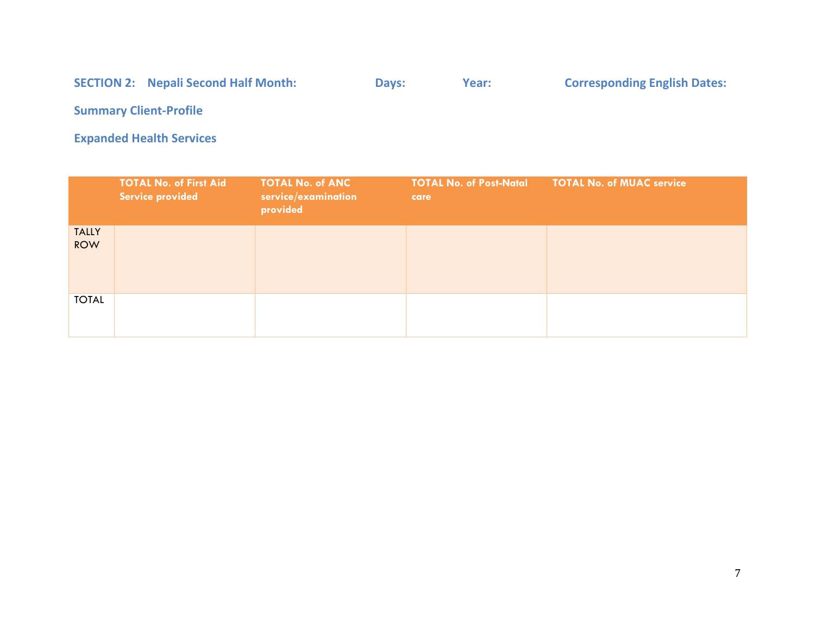# SECTION 2: Nepali Second Half Month: Days: Year: Corresponding English Dates:

**Summary Client-Profile** 

**Expanded Health Services** 

|                            | <b>TOTAL No. of First Aid</b><br>Service provided | <b>TOTAL No. of ANC</b><br>service/examination<br>provided | <b>TOTAL No. of Post-Natal</b><br>care | <b>TOTAL No. of MUAC service</b> |
|----------------------------|---------------------------------------------------|------------------------------------------------------------|----------------------------------------|----------------------------------|
| <b>TALLY</b><br><b>ROW</b> |                                                   |                                                            |                                        |                                  |
| <b>TOTAL</b>               |                                                   |                                                            |                                        |                                  |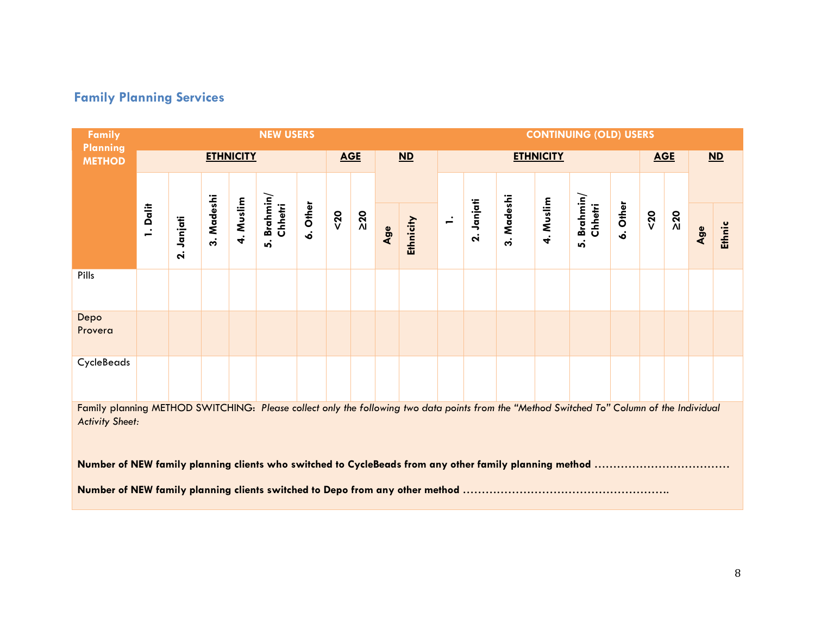# **Family Planning Services**

**Contract** 

| Family                                                                                                                                                               |          |                         |            |                  | <b>NEW USERS</b>                 |          |      |            |     |                          |                |                         |            |                  | <b>CONTINUING (OLD) USERS</b> |          |      |            |     |        |  |
|----------------------------------------------------------------------------------------------------------------------------------------------------------------------|----------|-------------------------|------------|------------------|----------------------------------|----------|------|------------|-----|--------------------------|----------------|-------------------------|------------|------------------|-------------------------------|----------|------|------------|-----|--------|--|
| <b>Planning</b><br><b>METHOD</b>                                                                                                                                     |          |                         |            | <b>ETHNICITY</b> |                                  |          |      | <b>AGE</b> |     | $\overline{\mathsf{ND}}$ |                |                         |            | <b>ETHNICITY</b> |                               |          |      | <b>AGE</b> |     | $ND$   |  |
|                                                                                                                                                                      |          |                         |            |                  |                                  |          |      |            |     |                          |                |                         |            |                  |                               |          |      |            |     |        |  |
|                                                                                                                                                                      | 1. Dalit | Janjati<br>$\mathbf{a}$ | 3. Madeshi | 4. Muslim        | Brahmin/<br>Chhetri<br><u>ທ່</u> | 6. Other | $20$ | $\geq 20$  | Age | Ethnicity                | $\overline{ }$ | Janjati<br>$\mathbf{a}$ | 3. Madeshi | 4. Muslim        | Brahmin/<br>Chhetri<br>ທ່     | 6. Other | $20$ | $\geq 20$  | Age | Ethnic |  |
| Pills                                                                                                                                                                |          |                         |            |                  |                                  |          |      |            |     |                          |                |                         |            |                  |                               |          |      |            |     |        |  |
| Depo<br>Provera                                                                                                                                                      |          |                         |            |                  |                                  |          |      |            |     |                          |                |                         |            |                  |                               |          |      |            |     |        |  |
| CycleBeads                                                                                                                                                           |          |                         |            |                  |                                  |          |      |            |     |                          |                |                         |            |                  |                               |          |      |            |     |        |  |
| Family planning METHOD SWITCHING: Please collect only the following two data points from the "Method Switched To" Column of the Individual<br><b>Activity Sheet:</b> |          |                         |            |                  |                                  |          |      |            |     |                          |                |                         |            |                  |                               |          |      |            |     |        |  |
| Number of NEW family planning clients who switched to CycleBeads from any other family planning method                                                               |          |                         |            |                  |                                  |          |      |            |     |                          |                |                         |            |                  |                               |          |      |            |     |        |  |
|                                                                                                                                                                      |          |                         |            |                  |                                  |          |      |            |     |                          |                |                         |            |                  |                               |          |      |            |     |        |  |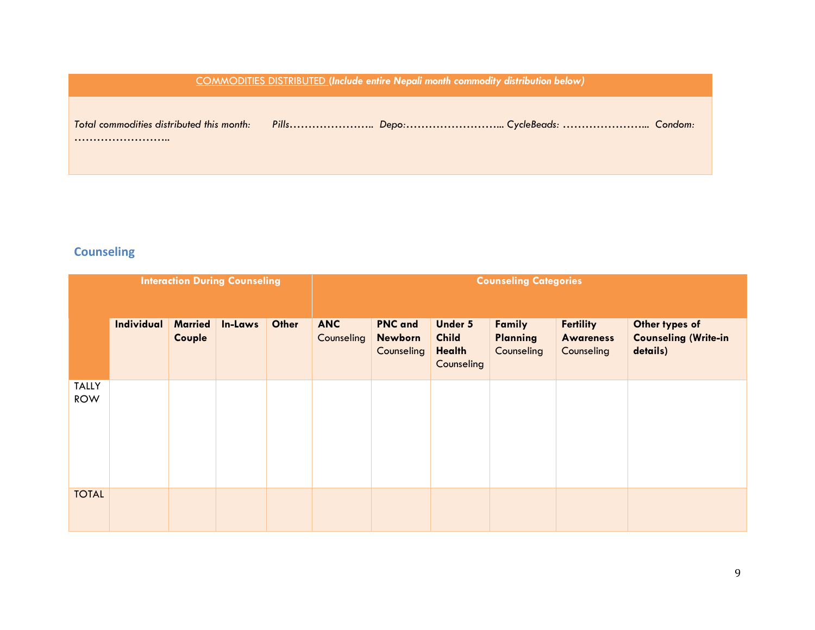|                                           | <b>COMMODITIES DISTRIBUTED (Include entire Nepali month commodity distribution below)</b> |  |  |  |  |  |  |  |
|-------------------------------------------|-------------------------------------------------------------------------------------------|--|--|--|--|--|--|--|
| Total commodities distributed this month: |                                                                                           |  |  |  |  |  |  |  |

### **Counseling**

|                            |                   |                          | <b>Interaction During Counseling</b> |       |                          | <b>Counseling Categories</b>                   |                                                        |                                         |                                                    |                                                           |  |
|----------------------------|-------------------|--------------------------|--------------------------------------|-------|--------------------------|------------------------------------------------|--------------------------------------------------------|-----------------------------------------|----------------------------------------------------|-----------------------------------------------------------|--|
|                            | <b>Individual</b> | <b>Married</b><br>Couple | In-Laws                              | Other | <b>ANC</b><br>Counseling | <b>PNC</b> and<br><b>Newborn</b><br>Counseling | <b>Under 5</b><br><b>Child</b><br>Health<br>Counseling | Family<br><b>Planning</b><br>Counseling | <b>Fertility</b><br><b>Awareness</b><br>Counseling | Other types of<br><b>Counseling (Write-in</b><br>details) |  |
| <b>TALLY</b><br><b>ROW</b> |                   |                          |                                      |       |                          |                                                |                                                        |                                         |                                                    |                                                           |  |
| <b>TOTAL</b>               |                   |                          |                                      |       |                          |                                                |                                                        |                                         |                                                    |                                                           |  |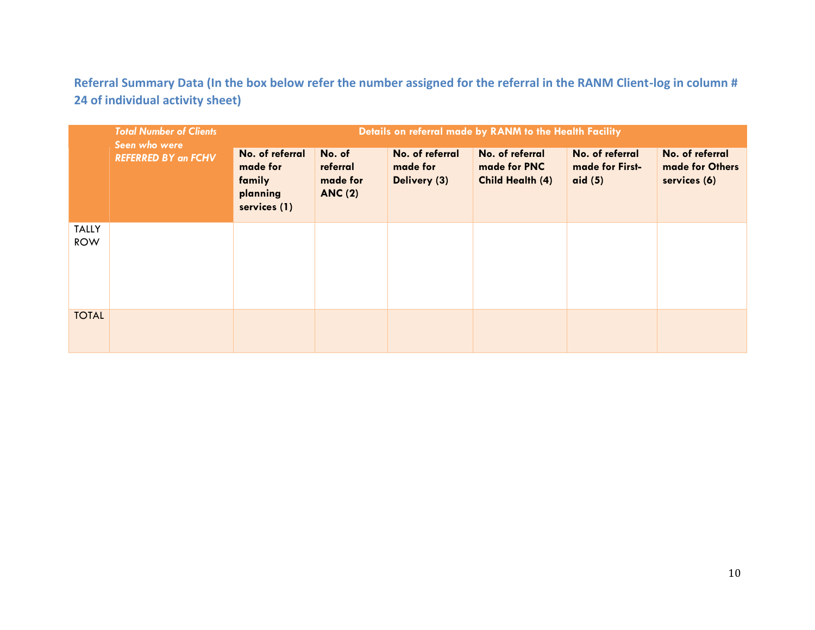**Referral Summary Data (In the box below refer the number assigned for the referral in the RANM Client-log in column # 24 of individual activity sheet)** 

|                            | <b>Total Number of Clients</b><br>Seen who were | Details on referral made by RANM to the Health Facility           |                                                  |                                             |                                                            |                                                 |                                                    |  |  |  |  |  |
|----------------------------|-------------------------------------------------|-------------------------------------------------------------------|--------------------------------------------------|---------------------------------------------|------------------------------------------------------------|-------------------------------------------------|----------------------------------------------------|--|--|--|--|--|
|                            | <b>REFERRED BY an FCHV</b>                      | No. of referral<br>made for<br>family<br>planning<br>services (1) | No. of<br>referral<br>made for<br><b>ANC (2)</b> | No. of referral<br>made for<br>Delivery (3) | No. of referral<br>made for PNC<br><b>Child Health (4)</b> | No. of referral<br>made for First-<br>aid $(5)$ | No. of referral<br>made for Others<br>services (6) |  |  |  |  |  |
| <b>TALLY</b><br><b>ROW</b> |                                                 |                                                                   |                                                  |                                             |                                                            |                                                 |                                                    |  |  |  |  |  |
| <b>TOTAL</b>               |                                                 |                                                                   |                                                  |                                             |                                                            |                                                 |                                                    |  |  |  |  |  |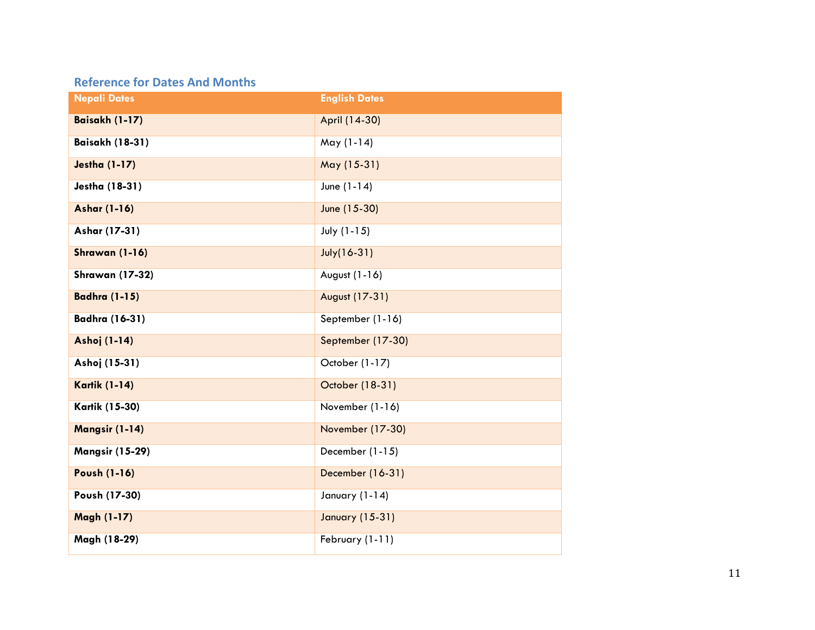### **Reference for Dates And Months**

| <b>Nepali Dates</b>    | <b>English Dates</b>   |
|------------------------|------------------------|
| Baisakh (1-17)         | April (14-30)          |
| <b>Baisakh (18-31)</b> | May (1-14)             |
| <b>Jestha (1-17)</b>   | May (15-31)            |
| <b>Jestha (18-31)</b>  | June (1-14)            |
| <b>Ashar (1-16)</b>    | June (15-30)           |
| Ashar (17-31)          | July (1-15)            |
| Shrawan (1-16)         | July(16-31)            |
| <b>Shrawan (17-32)</b> | August (1-16)          |
| <b>Badhra (1-15)</b>   | August (17-31)         |
| <b>Badhra (16-31)</b>  | September (1-16)       |
| Ashoj (1-14)           | September (17-30)      |
| Ashoj (15-31)          | October (1-17)         |
| <b>Kartik (1-14)</b>   | October (18-31)        |
| <b>Kartik (15-30)</b>  | November (1-16)        |
| Mangsir (1-14)         | November (17-30)       |
| <b>Mangsir (15-29)</b> | December (1-15)        |
| <b>Poush (1-16)</b>    | December (16-31)       |
| Poush (17-30)          | January (1-14)         |
| <b>Magh (1-17)</b>     | <b>January (15-31)</b> |
| Magh (18-29)           | February (1-11)        |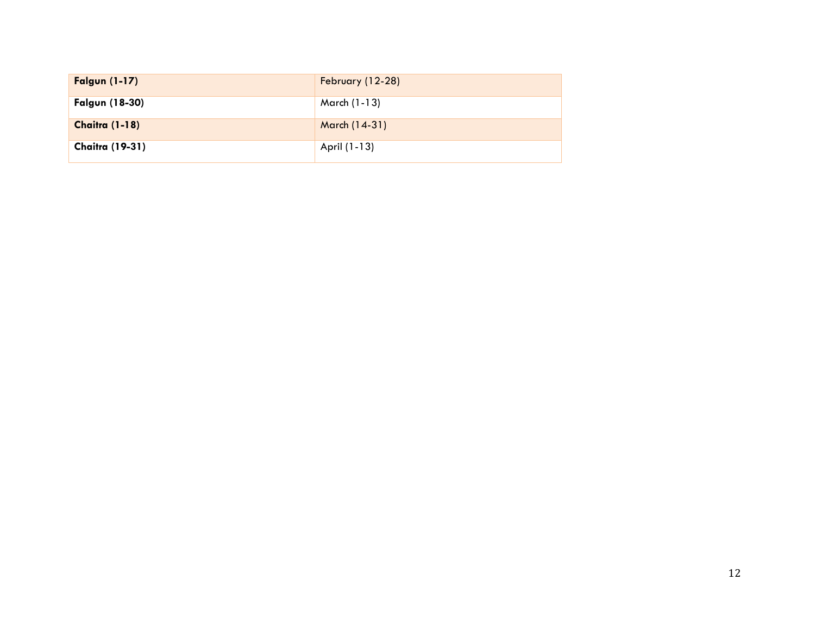| <b>Falgun (1-17)</b>   | February (12-28) |
|------------------------|------------------|
| <b>Falgun (18-30)</b>  | March (1-13)     |
| <b>Chaitra (1-18)</b>  | March (14-31)    |
| <b>Chaitra (19-31)</b> | April (1-13)     |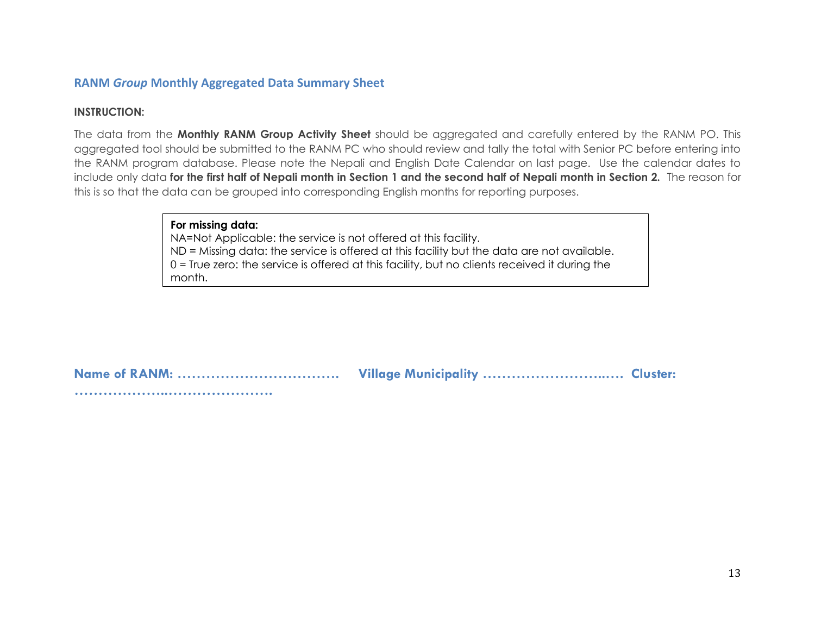#### **RANM** *Group* **Monthly Aggregated Data Summary Sheet**

#### **INSTRUCTION:**

The data from the **Monthly RANM Group Activity Sheet** should be aggregated and carefully entered by the RANM PO. This aggregated tool should be submitted to the RANM PC who should review and tally the total with Senior PC before entering into the RANM program database. Please note the Nepali and English Date Calendar on last page. Use the calendar dates to include only data **for the first half of Nepali month in Section 1 and the second half of Nepali month in Section 2.** The reason for this is so that the data can be grouped into corresponding English months for reporting purposes.

#### **For missing data:**

NA=Not Applicable: the service is not offered at this facility. ND = Missing data: the service is offered at this facility but the data are not available. 0 = True zero: the service is offered at this facility, but no clients received it during the month.

**Name of RANM: ……………………………. Village Municipality ……………………..…. Cluster: ………………..………………….**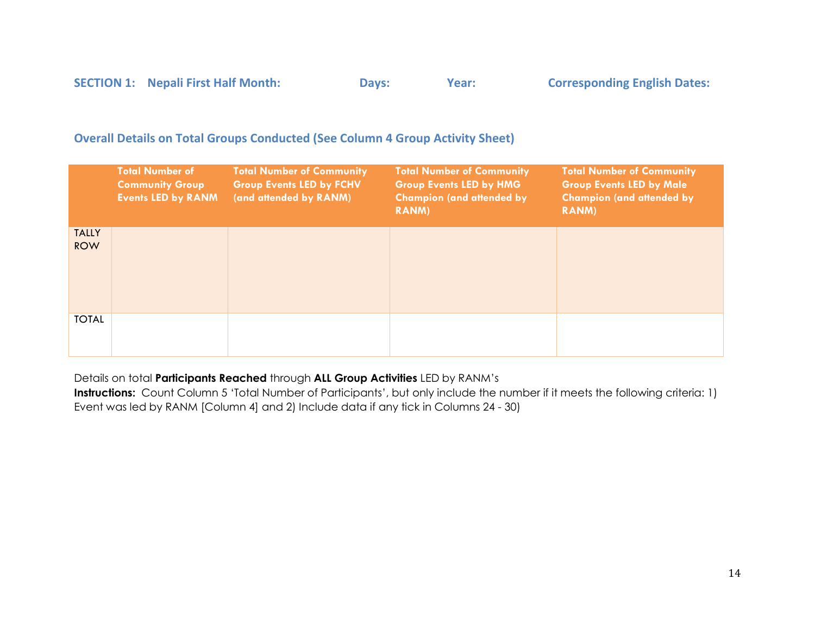|  | <b>SECTION 1: Nepali First Half Month:</b> | Days: | Year: | <b>Corresponding English Dates:</b> |
|--|--------------------------------------------|-------|-------|-------------------------------------|
|--|--------------------------------------------|-------|-------|-------------------------------------|

#### **Overall Details on Total Groups Conducted (See Column 4 Group Activity Sheet)**

|                            | <b>Total Number of</b><br><b>Community Group</b><br><b>Events LED by RANM</b> | <b>Total Number of Community</b><br><b>Group Events LED by FCHV</b><br>(and attended by RANM) | <b>Total Number of Community</b><br><b>Group Events LED by HMG</b><br><b>Champion (and attended by</b><br><b>RANM</b> ) | <b>Total Number of Community</b><br><b>Group Events LED by Male</b><br><b>Champion (and attended by</b><br><b>RANM</b> ) |
|----------------------------|-------------------------------------------------------------------------------|-----------------------------------------------------------------------------------------------|-------------------------------------------------------------------------------------------------------------------------|--------------------------------------------------------------------------------------------------------------------------|
| <b>TALLY</b><br><b>ROW</b> |                                                                               |                                                                                               |                                                                                                                         |                                                                                                                          |
| <b>TOTAL</b>               |                                                                               |                                                                                               |                                                                                                                         |                                                                                                                          |

Details on total **Participants Reached** through **ALL Group Activities** LED by RANM's

**Instructions:** Count Column 5 'Total Number of Participants', but only include the number if it meets the following criteria: 1) Event was led by RANM [Column 4] and 2) Include data if any tick in Columns 24 - 30)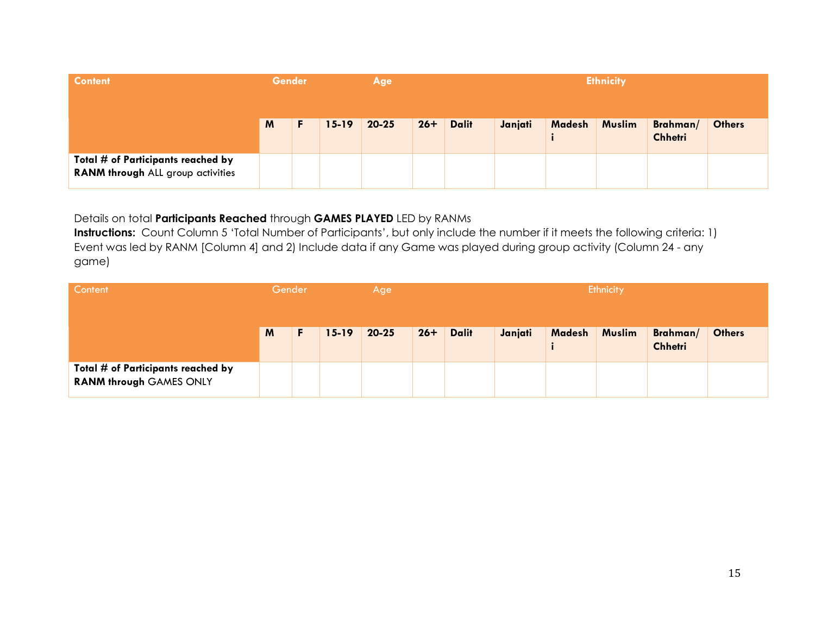| <b>Content</b>                                                          | <b>Gender</b> |   |           | <b>Ethnicity</b><br>Age |       |              |         |               |               |                            |               |
|-------------------------------------------------------------------------|---------------|---|-----------|-------------------------|-------|--------------|---------|---------------|---------------|----------------------------|---------------|
|                                                                         | M             | F | $15 - 19$ | $20 - 25$               | $26+$ | <b>Dalit</b> | Janjati | <b>Madesh</b> | <b>Muslim</b> | Brahman/<br><b>Chhetri</b> | <b>Others</b> |
| Total # of Participants reached by<br>RANM through ALL group activities |               |   |           |                         |       |              |         |               |               |                            |               |

#### Details on total **Participants Reached** through **GAMES PLAYED** LED by RANMs

**Instructions:** Count Column 5 'Total Number of Participants', but only include the number if it meets the following criteria: 1) Event was led by RANM [Column 4] and 2) Include data if any Game was played during group activity (Column 24 - any game)

| Content                                                              | Gender |    |           | Age       |       |              |         |        | Ethnicity     |                            |               |
|----------------------------------------------------------------------|--------|----|-----------|-----------|-------|--------------|---------|--------|---------------|----------------------------|---------------|
|                                                                      | M      | F. | $15 - 19$ | $20 - 25$ | $26+$ | <b>Dalit</b> | Janjati | Madesh | <b>Muslim</b> | Brahman/<br><b>Chhetri</b> | <b>Others</b> |
| Total # of Participants reached by<br><b>RANM through GAMES ONLY</b> |        |    |           |           |       |              |         |        |               |                            |               |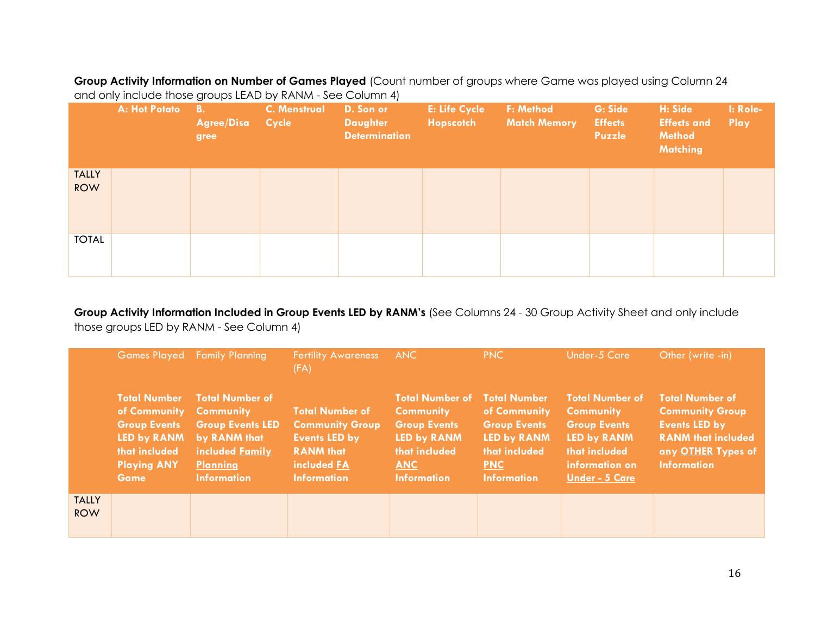**Group Activity Information on Number of Games Played** (Count number of groups where Game was played using Column 24 and only include those groups LEAD by RANM - See Column 4)

|                            | A: Hot Potato | <b>B.</b><br><b>Agree/Disa</b><br>gree | <b>C. Menstrual</b><br><b>Cycle</b> | D. Son or<br><b>Daughter</b><br><b>Determination</b> | <b>E: Life Cycle</b><br>Hopscotch | F: Method<br><b>Match Memory</b> | G: Side<br><b>Effects</b><br>Puzzle | H: Side<br><b>Effects and</b><br><b>Method</b><br><b>Matching</b> | I: Role-<br>Play |
|----------------------------|---------------|----------------------------------------|-------------------------------------|------------------------------------------------------|-----------------------------------|----------------------------------|-------------------------------------|-------------------------------------------------------------------|------------------|
| <b>TALLY</b><br><b>ROW</b> |               |                                        |                                     |                                                      |                                   |                                  |                                     |                                                                   |                  |
| <b>TOTAL</b>               |               |                                        |                                     |                                                      |                                   |                                  |                                     |                                                                   |                  |

**Group Activity Information Included in Group Events LED by RANM's** (See Columns 24 - 30 Group Activity Sheet and only include those groups LED by RANM - See Column 4)

|                            | <b>Games Played</b>                                                                                                             | <b>Family Planning</b>                                                                                                                            | <b>Fertility Awareness</b><br>(FA)                                                                                                | <b>ANC</b>                                                                                                                            | PNC                                                                                                                            | Under-5 Care                                                                                                                                 | Other (write -in)                                                                                                                                 |
|----------------------------|---------------------------------------------------------------------------------------------------------------------------------|---------------------------------------------------------------------------------------------------------------------------------------------------|-----------------------------------------------------------------------------------------------------------------------------------|---------------------------------------------------------------------------------------------------------------------------------------|--------------------------------------------------------------------------------------------------------------------------------|----------------------------------------------------------------------------------------------------------------------------------------------|---------------------------------------------------------------------------------------------------------------------------------------------------|
|                            | <b>Total Number</b><br>of Community<br><b>Group Events</b><br>LED by RANM<br>that included<br><b>Playing ANY</b><br><b>Game</b> | <b>Total Number of</b><br><b>Community</b><br><b>Group Events LED</b><br>by RANM that<br>included Family<br><b>Planning</b><br><b>Information</b> | <b>Total Number of</b><br><b>Community Group</b><br><b>Events LED by</b><br><b>RANM</b> that<br>included FA<br><b>Information</b> | <b>Total Number of</b><br><b>Community</b><br><b>Group Events</b><br>LED by RANM<br>that included<br><b>ANC</b><br><b>Information</b> | <b>Total Number</b><br>of Community<br><b>Group Events</b><br>LED by RANM<br>that included<br><b>PNC</b><br><b>Information</b> | <b>Total Number of</b><br><b>Community</b><br><b>Group Events</b><br>LED by RANM<br>that included<br>information on<br><b>Under - 5 Care</b> | <b>Total Number of</b><br><b>Community Group</b><br><b>Events LED by</b><br><b>RANM that included</b><br>any OTHER Types of<br><b>Information</b> |
| <b>TALLY</b><br><b>ROW</b> |                                                                                                                                 |                                                                                                                                                   |                                                                                                                                   |                                                                                                                                       |                                                                                                                                |                                                                                                                                              |                                                                                                                                                   |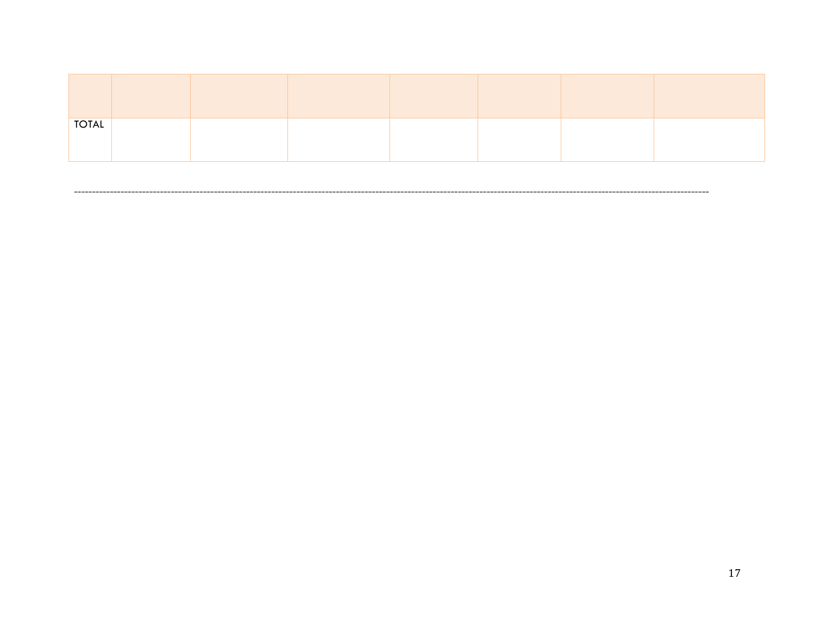| $\overline{OTAL}$ |  |  |  |  |
|-------------------|--|--|--|--|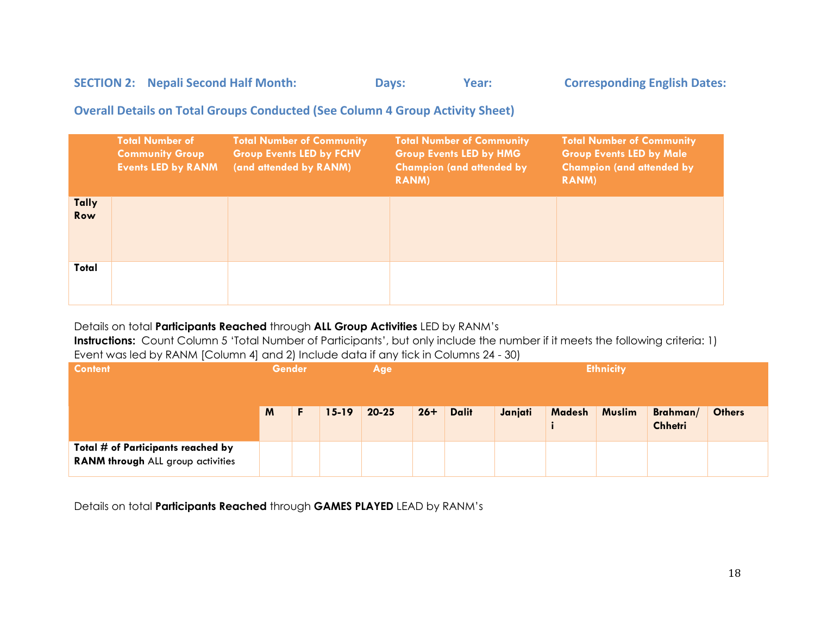### SECTION 2: Nepali Second Half Month: Days: Year: Corresponding English Dates:

#### **Overall Details on Total Groups Conducted (See Column 4 Group Activity Sheet)**

|                     | <b>Total Number of</b><br><b>Community Group</b><br><b>Events LED by RANM</b> | <b>Total Number of Community</b><br><b>Group Events LED by FCHV</b><br>(and attended by RANM) | <b>Total Number of Community</b><br><b>Group Events LED by HMG</b><br><b>Champion (and attended by</b><br><b>RANM</b> ) | <b>Total Number of Community</b><br><b>Group Events LED by Male</b><br><b>Champion (and attended by</b><br><b>RANM</b> ) |
|---------------------|-------------------------------------------------------------------------------|-----------------------------------------------------------------------------------------------|-------------------------------------------------------------------------------------------------------------------------|--------------------------------------------------------------------------------------------------------------------------|
| <b>Tally</b><br>Row |                                                                               |                                                                                               |                                                                                                                         |                                                                                                                          |
| Total               |                                                                               |                                                                                               |                                                                                                                         |                                                                                                                          |

#### Details on total **Participants Reached** through **ALL Group Activities** LED by RANM's

**Instructions:** Count Column 5 'Total Number of Participants', but only include the number if it meets the following criteria: 1) Event was led by RANM [Column 4] and 2) Include data if any tick in Columns 24 - 30)

| <b>Content</b>                                                          | <b>Gender</b> |           | Age       | <b>Ethnicity</b> |              |         |        |               |                            |               |
|-------------------------------------------------------------------------|---------------|-----------|-----------|------------------|--------------|---------|--------|---------------|----------------------------|---------------|
|                                                                         | M             | $15 - 19$ | $20 - 25$ | $26+$            | <b>Dalit</b> | Janjati | Madesh | <b>Muslim</b> | Brahman/<br><b>Chhetri</b> | <b>Others</b> |
| Total # of Participants reached by<br>RANM through ALL group activities |               |           |           |                  |              |         |        |               |                            |               |

Details on total **Participants Reached** through **GAMES PLAYED** LEAD by RANM's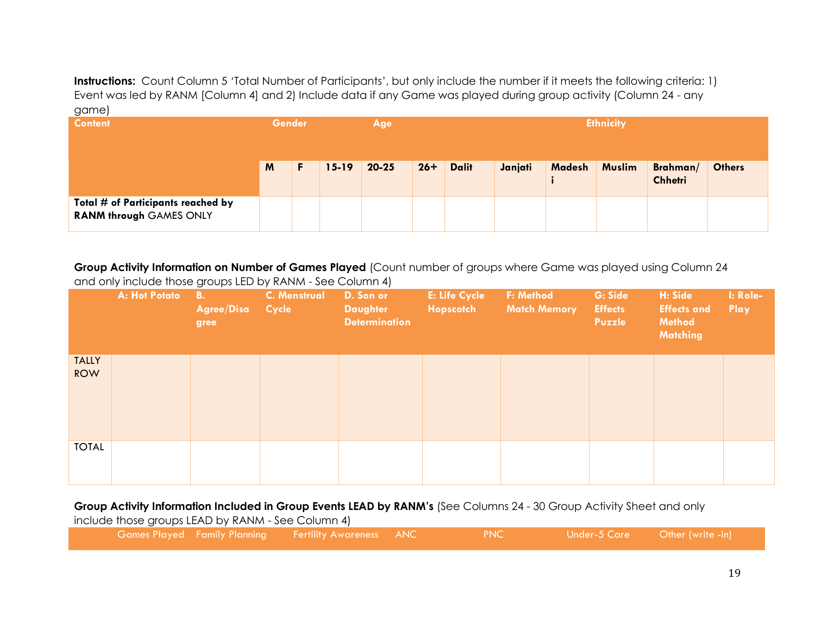**Instructions:** Count Column 5 'Total Number of Participants', but only include the number if it meets the following criteria: 1) Event was led by RANM [Column 4] and 2) Include data if any Game was played during group activity (Column 24 - any game)

| <b>Content</b>                                                       |   | <b>Gender</b><br>Age |           |           | <b>Ethnicity</b> |              |         |               |               |                            |               |
|----------------------------------------------------------------------|---|----------------------|-----------|-----------|------------------|--------------|---------|---------------|---------------|----------------------------|---------------|
|                                                                      | M | F                    | $15 - 19$ | $20 - 25$ | $26+$            | <b>Dalit</b> | Janjati | <b>Madesh</b> | <b>Muslim</b> | Brahman/<br><b>Chhetri</b> | <b>Others</b> |
| Total # of Participants reached by<br><b>RANM through GAMES ONLY</b> |   |                      |           |           |                  |              |         |               |               |                            |               |

**Group Activity Information on Number of Games Played** (Count number of groups where Game was played using Column 24 and only include those groups LED by RANM - See Column 4)

|                            | A: Hot Potato | <b>B.</b><br><b>Agree/Disa</b><br>gree | <b>C. Menstrual</b><br><b>Cycle</b> | D. Son or<br><b>Daughter</b><br><b>Determination</b> | <b>E: Life Cycle</b><br>Hopscotch | F: Method<br><b>Match Memory</b> | G: Side<br><b>Effects</b><br>Puzzle | H: Side<br><b>Effects and</b><br><b>Method</b><br><b>Matching</b> | I: Role-<br>Play |
|----------------------------|---------------|----------------------------------------|-------------------------------------|------------------------------------------------------|-----------------------------------|----------------------------------|-------------------------------------|-------------------------------------------------------------------|------------------|
| <b>TALLY</b><br><b>ROW</b> |               |                                        |                                     |                                                      |                                   |                                  |                                     |                                                                   |                  |
| <b>TOTAL</b>               |               |                                        |                                     |                                                      |                                   |                                  |                                     |                                                                   |                  |

#### **Group Activity Information Included in Group Events LEAD by RANM's** (See Columns 24 - 30 Group Activity Sheet and only

| include those groups LEAD by RANM - See Column 4) |  |                                                                     |  |                                   |  |  |
|---------------------------------------------------|--|---------------------------------------------------------------------|--|-----------------------------------|--|--|
|                                                   |  | , Games Played Family Planning       Fertility Awareness     ANC  ' |  | $\blacksquare$ PNC $\blacksquare$ |  |  |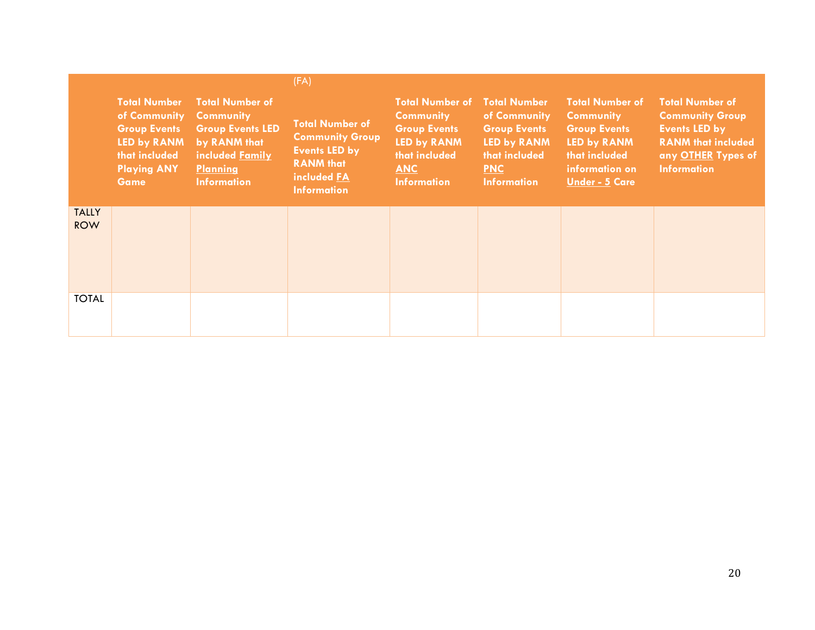|                            |                                                                                                                                 |                                                                                                                                                   | (FA)                                                                                                                              |                                                                                                                                              |                                                                                                                                       |                                                                                                                                              |                                                                                                                                                   |
|----------------------------|---------------------------------------------------------------------------------------------------------------------------------|---------------------------------------------------------------------------------------------------------------------------------------------------|-----------------------------------------------------------------------------------------------------------------------------------|----------------------------------------------------------------------------------------------------------------------------------------------|---------------------------------------------------------------------------------------------------------------------------------------|----------------------------------------------------------------------------------------------------------------------------------------------|---------------------------------------------------------------------------------------------------------------------------------------------------|
|                            | <b>Total Number</b><br>of Community<br><b>Group Events</b><br>LED by RANM<br>that included<br><b>Playing ANY</b><br><b>Game</b> | <b>Total Number of</b><br><b>Community</b><br><b>Group Events LED</b><br>by RANM that<br>included Family<br><b>Planning</b><br><b>Information</b> | <b>Total Number of</b><br><b>Community Group</b><br><b>Events LED by</b><br><b>RANM</b> that<br>included FA<br><b>Information</b> | <b>Total Number of</b><br><b>Community</b><br><b>Group Events</b><br><b>LED by RANM</b><br>that included<br><b>ANC</b><br><b>Information</b> | <b>Total Number</b><br>of Community<br><b>Group Events</b><br><b>LED by RANM</b><br>that included<br><b>PNC</b><br><b>Information</b> | <b>Total Number of</b><br><b>Community</b><br><b>Group Events</b><br>LED by RANM<br>that included<br>information on<br><b>Under - 5 Care</b> | <b>Total Number of</b><br><b>Community Group</b><br><b>Events LED by</b><br><b>RANM that included</b><br>any OTHER Types of<br><b>Information</b> |
| <b>TALLY</b><br><b>ROW</b> |                                                                                                                                 |                                                                                                                                                   |                                                                                                                                   |                                                                                                                                              |                                                                                                                                       |                                                                                                                                              |                                                                                                                                                   |
| <b>TOTAL</b>               |                                                                                                                                 |                                                                                                                                                   |                                                                                                                                   |                                                                                                                                              |                                                                                                                                       |                                                                                                                                              |                                                                                                                                                   |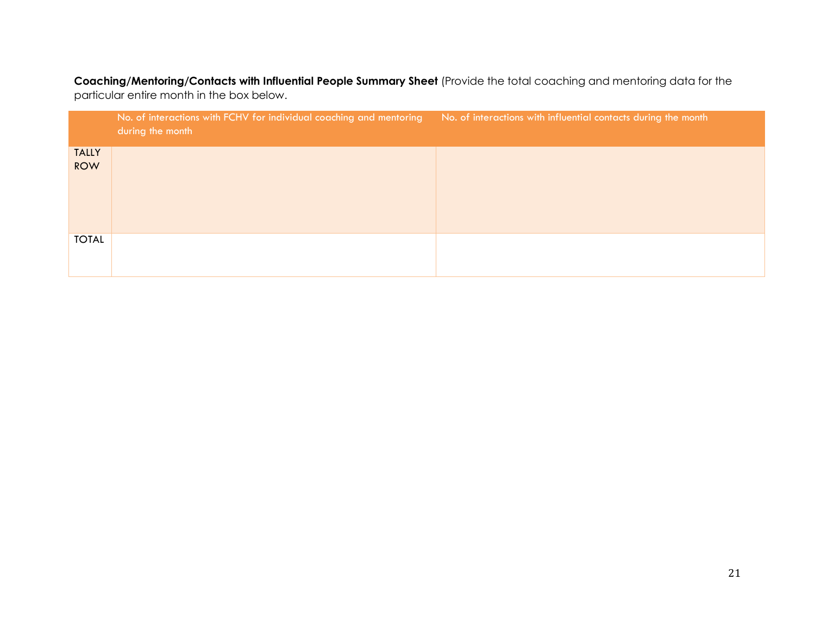**Coaching/Mentoring/Contacts with Influential People Summary Sheet** (Provide the total coaching and mentoring data for the particular entire month in the box below.

|                            | No. of interactions with FCHV for individual coaching and mentoring<br>during the month | No. of interactions with influential contacts during the month |
|----------------------------|-----------------------------------------------------------------------------------------|----------------------------------------------------------------|
| <b>TALLY</b><br><b>ROW</b> |                                                                                         |                                                                |
| <b>TOTAL</b>               |                                                                                         |                                                                |